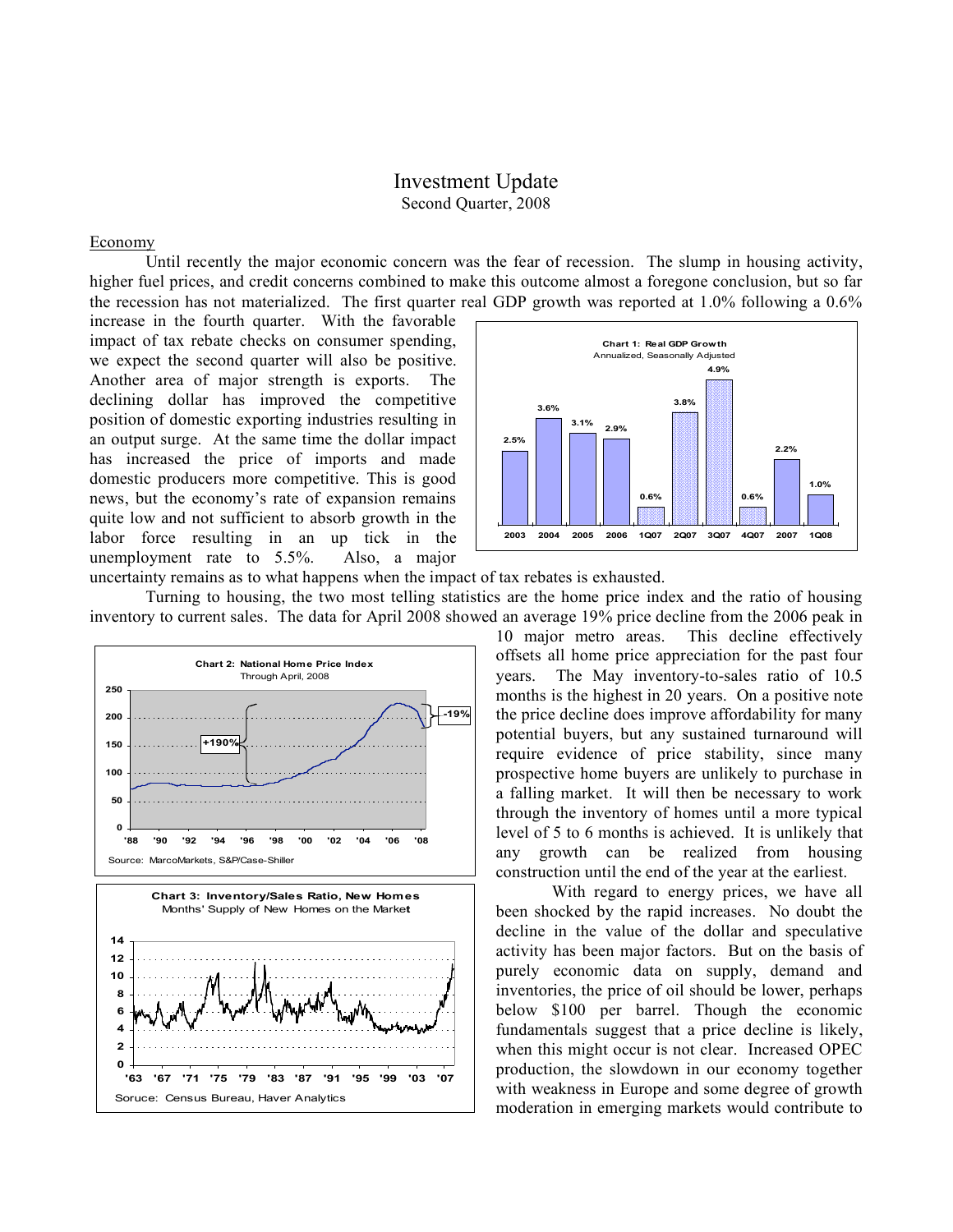## Investment Update Second Quarter, 2008

## Economy

Until recently the major economic concern was the fear of recession. The slump in housing activity, higher fuel prices, and credit concerns combined to make this outcome almost a foregone conclusion, but so far the recession has not materialized. The first quarter real GDP growth was reported at 1.0% following a 0.6%

increase in the fourth quarter. With the favorable impact of tax rebate checks on consumer spending, we expect the second quarter will also be positive. Another area of major strength is exports. The declining dollar has improved the competitive position of domestic exporting industries resulting in an output surge. At the same time the dollar impact has increased the price of imports and made domestic producers more competitive. This is good news, but the economy's rate of expansion remains quite low and not sufficient to absorb growth in the labor force resulting in an up tick in the unemployment rate to 5.5%. Also, a major



uncertainty remains as to what happens when the impact of tax rebates is exhausted.

Turning to housing, the two most telling statistics are the home price index and the ratio of housing inventory to current sales. The data for April 2008 showed an average 19% price decline from the 2006 peak in



10 major metro areas. This decline effectively offsets all home price appreciation for the past four years. The May inventory-to-sales ratio of 10.5 months is the highest in 20 years. On a positive note the price decline does improve affordability for many potential buyers, but any sustained turnaround will require evidence of price stability, since many prospective home buyers are unlikely to purchase in a falling market. It will then be necessary to work through the inventory of homes until a more typical level of 5 to 6 months is achieved. It is unlikely that any growth can be realized from housing construction until the end of the year at the earliest.

With regard to energy prices, we have all been shocked by the rapid increases. No doubt the decline in the value of the dollar and speculative activity has been major factors. But on the basis of purely economic data on supply, demand and inventories, the price of oil should be lower, perhaps below \$100 per barrel. Though the economic fundamentals suggest that a price decline is likely, when this might occur is not clear. Increased OPEC production, the slowdown in our economy together with weakness in Europe and some degree of growth moderation in emerging markets would contribute to